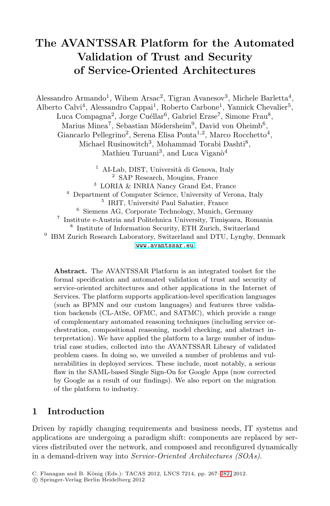# **The AVANTSSAR Platform for the Automated Validation of Trust and Security of Service-Oriented Architectures**

Alessandro Armando<sup>1</sup>, Wihem Arsac<sup>2</sup>, Tigran Avanesov<sup>3</sup>, Michele Barletta<sup>4</sup>, Alberto Calvi<sup>4</sup>, Alessandro Cappai<sup>1</sup>, Roberto Carbone<sup>1</sup>, Yannick Chevalier<sup>5</sup>, Luca Compagna<sup>2</sup>, Jorge Cuéllar<sup>6</sup>, Gabriel Erzse<sup>7</sup>, Simone Frau<sup>8</sup>, Marius Minea<sup>7</sup>, Sebastian Mödersheim<sup>9</sup>, David von Oheimb<sup>6</sup>, Giancarlo Pellegrino<sup>2</sup>, Serena Elisa Ponta<sup>1,2</sup>, Marco Rocchetto<sup>4</sup>, Michael Rusinowitch<sup>3</sup>, Mohammad Torabi Dashti<sup>8</sup>, Mathieu Turuani<sup>3</sup>, and Luca Vigan $\delta^4$ <sup>1</sup> AI-Lab, DIST, Università di Genova, Italy <sup>2</sup> SAP Research, Mougins, France <sup>3</sup> LORIA & INRIA Nancy Grand Est, France <sup>4</sup> Department of Computer Science, University of Verona, Italy <sup>5</sup> IRIT, Université Paul Sabatier, France <sup>6</sup> Siemens AG, Corporate Technology, Munich, Germany  $^7$  Institute e-Austria and Politehnica University, Timişoara, Romania <sup>8</sup> Institute of Information Security, ETH Zurich, Switzerland  $^9\,$  IBM Zurich Research Laboratory, Switzerland and DTU, Lyngby, Denmark <www.avantssar.eu>

**Abstract.** The AVANTSSAR Platform is an integrated toolset for the formal specification and automated validation of trust and security of service-oriented architectures and other applications in the Internet of Services. The platform supports application-level specification languages (such as BPMN and our custom languages) and features three validation backends (CL-AtSe, OFMC, and SATMC), which provide a range of complementary automated reasoning techniques (including service orchestration, compositional reasoning, model checking, and abstract interpretation). We have applied the platform to a large number of industrial case studies, collected into the AVANTSSAR Library of validated problem cases. In doing so, we unveiled a number of problems and vulnerabilities in deployed services. These include, most notably, a serious flaw in the SAML-based Single Sign-On for Google Apps (now corrected by Google as a result of our findings). We also report on the migration of the platform to industry.

# **1 Introduction**

Driven by rapidly changing requirements and business needs, IT systems and applications are undergoing a paradigm shift: components are replaced by services distributed over the network, and composed and reconfigured dynamically in a demand-driven way into *Service-Oriented Architectures (SOAs)*.

C. Flanagan and B. König (Eds.): TACAS 2012, LNCS 7214, pp. 267-282, 2012.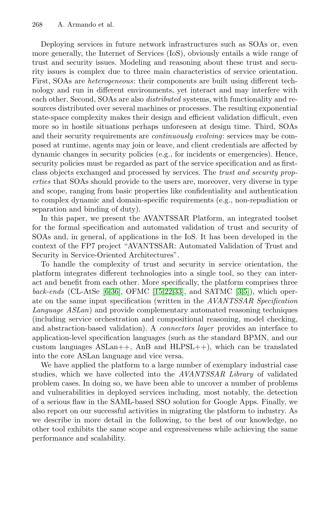Deploying services in future network infrastructures such as SOAs or, even more generally, the Internet of Services (IoS), obviously entails a wide range of trust and security issues. Modeling and reasoning about these trust and security issues is complex due to three main characteristics of service orientation. First, SOAs are *heterogeneous*: their components are built using different technology and run in different environments, yet interact and may interfere with each other. Second, SOAs are also *distributed* systems, with functionality and resources distributed over several machines or processes. The resulting exponential state-space complexity makes their design and efficient validation difficult, even more so in hostile situations perhaps unforeseen at design time. Third, SOAs and their security requirements are *continuously evolving*: services may be composed at runtime, agents may join or leave, and client credentials are affected by dynamic changes in security policies (e.g., for incidents or emergencies). Hence, security policies must be regarded as part of the service specification and as firstclass objects exchanged and processed by services. The *trust and security properties* that SOAs should provide to the users are, moreover, very diverse in type and scope, ranging from basic properties like confidentiality and authentication to complex dynamic and domain-specific requirements (e.g., non-repudiation or separation and binding of duty).

In this paper, we present the AVANTSSAR Platform, an integrated toolset for the formal specification and automated validation of trust and security of SOAs and, in general, of applications in the IoS. It has been developed in the context of the FP7 project "AVANTSSAR: Automated Validation of Trust and Security in Service-Oriented Architectures".

To handle the complexity of trust and security in service orientation, the platform integrates different technologies into a single tool, so they can interact and benefit from each other. More specifically, the platform comprises three *back-ends* (CL-AtSe [\[6](#page-14-0)[,36\]](#page-15-1), OFMC [\[15,](#page-14-1)[22](#page-15-2)[,33\]](#page-15-3), and SATMC [\[3](#page-14-2)[,5\]](#page-14-3)), which operate on the same input specification (written in the *AVANTSSAR Specification Language ASLan*) and provide complementary automated reasoning techniques (including service orchestration and compositional reasoning, model checking, and abstraction-based validation). A *connectors layer* provides an interface to application-level specification languages (such as the standard BPMN, and our custom languages  $ASLan++$ , AnB and  $HLPSL++$ ), which can be translated into the core ASLan language and vice versa.

We have applied the platform to a large number of exemplary industrial case studies, which we have collected into the *AVANTSSAR Library* of validated problem cases. In doing so, we have been able to uncover a number of problems and vulnerabilities in deployed services including, most notably, the detection of a serious flaw in the SAML-based SSO solution for Google Apps. Finally, we also report on our successful activities in migrating the platform to industry. As we describe in more detail in the following, to the best of our knowledge, no other tool exhibits the same scope and expressiveness while achieving the same performance and scalability.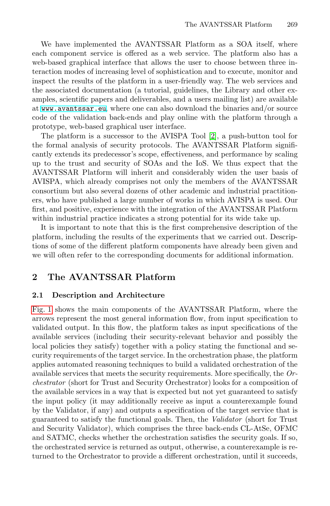We have implemented the AVANTSSAR Platform as a SOA itself, where each component service is offered as a web service. The platform also has a web-based graphical interface that allows the user to choose between three interaction modes of increasing level of sophistication and to execute, monitor and inspect the results of the platform in a user-friendly way. The web services and the associated documentation (a tutorial, guidelines, the Library and other examples, scientific papers and deliverables, and a users mailing list) are available at <www.avantssar.eu>, where one can also download the binaries and/or source code of the validation back-ends and play online with the platform through a prototype, web-based graphical user interface.

The platform is a successor to the AVISPA Tool [\[2\]](#page-14-4), a push-button tool for the formal analysis of security protocols. The AVANTSSAR Platform significantly extends its predecessor's scope, effectiveness, and performance by scaling up to the trust and security of SOAs and the IoS. We thus expect that the AVANTSSAR Platform will inherit and considerably widen the user basis of AVISPA, which already comprises not only the members of the AVANTSSAR consortium but also several dozens of other academic and industrial practitioners, who have published a large number of works in which AVISPA is used. Our first, and positive, experience with the integration of the AVANTSSAR Platform within industrial practice indicates a strong potential for its wide take up.

It is important to note that this is the first comprehensive description of the platform, including the results of the experiments that we carried out. Descriptions of some of the different platform components have already been given and we will often refer to the corresponding documents for additional information.

## **2 The AVANTSSAR Platform**

#### **2.1 Description and Architecture**

[Fig. 1](#page-3-0) shows the main components of the AVANTSSAR Platform, where the arrows represent the most general information flow, from input specification to validated output. In this flow, the platform takes as input specifications of the available services (including their security-relevant behavior and possibly the local policies they satisfy) together with a policy stating the functional and security requirements of the target service. In the orchestration phase, the platform applies automated reasoning techniques to build a validated orchestration of the available services that meets the security requirements. More specifically, the *Orchestrator* (short for Trust and Security Orchestrator) looks for a composition of the available services in a way that is expected but not yet guaranteed to satisfy the input policy (it may additionally receive as input a counterexample found by the Validator, if any) and outputs a specification of the target service that is guaranteed to satisfy the functional goals. Then, the *Validator* (short for Trust and Security Validator), which comprises the three back-ends CL-AtSe, OFMC and SATMC, checks whether the orchestration satisfies the security goals. If so, the orchestrated service is returned as output, otherwise, a counterexample is returned to the Orchestrator to provide a different orchestration, until it succeeds,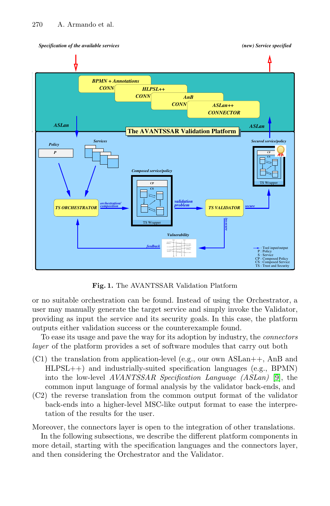

<span id="page-3-2"></span><span id="page-3-1"></span><span id="page-3-0"></span>**Fig. 1.** The AVANTSSAR Validation Platform

or no suitable orchestration can be found. Instead of using the Orchestrator, a user may manually generate the target service and simply invoke the Validator, providing as input the service and its security goals. In this case, the platform outputs either validation success or the counterexample found.

To ease its usage and pave the way for its adoption by industry, the *connectors layer* of the platform provides a set of software modules that carry out both

- (C1) the translation from application-level (e.g., our own ASLan++, AnB and  $HLPSL++$ ) and industrially-suited specification languages (e.g., BPMN) into the low-level *AVANTSSAR Specification Language (ASLan)* [\[9\]](#page-14-5), the common input language of formal analysis by the validator back-ends, and
- (C2) the reverse translation from the common output format of the validator back-ends into a higher-level MSC-like output format to ease the interpretation of the results for the user.

Moreover, the connectors layer is open to the integration of other translations.

In the following subsections, we describe the different platform components in more detail, starting with the specification languages and the connectors layer, and then considering the Orchestrator and the Validator.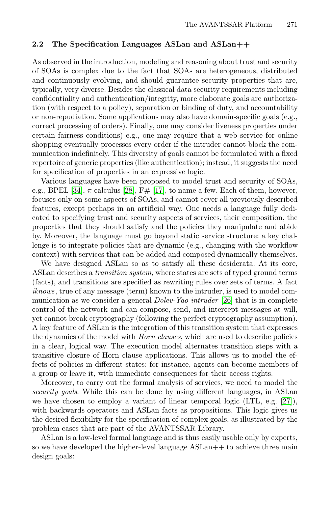#### **2.2 The Specification Languages ASLan and ASLan++**

As observed in the introduction, modeling and reasoning about trust and security of SOAs is complex due to the fact that SOAs are heterogeneous, distributed and continuously evolving, and should guarantee security properties that are, typically, very diverse. Besides the classical data security requirements including confidentiality and authentication/integrity, more elaborate goals are authorization (with respect to a policy), separation or binding of duty, and accountability or non-repudiation. Some applications may also have domain-specific goals (e.g., correct processing of orders). Finally, one may consider liveness properties under certain fairness conditions) e.g., one may require that a web service for online shopping eventually processes every order if the intruder cannot block the communication indefinitely. This diversity of goals cannot be formulated with a fixed repertoire of generic properties (like authentication); instead, it suggests the need for specification of properties in an expressive logic.

Various languages have been proposed to model trust and security of SOAs, e.g., BPEL [\[34\]](#page-15-4),  $\pi$  calculus [\[28\]](#page-15-5), F# [\[17\]](#page-14-6), to name a few. Each of them, however, focuses only on some aspects of SOAs, and cannot cover all previously described features, except perhaps in an artificial way. One needs a language fully dedicated to specifying trust and security aspects of services, their composition, the properties that they should satisfy and the policies they manipulate and abide by. Moreover, the language must go beyond static service structure: a key challenge is to integrate policies that are dynamic (e.g., changing with the workflow context) with services that can be added and composed dynamically themselves.

We have designed ASLan so as to satisfy all these desiderata. At its core, ASLan describes a *transition system*, where states are sets of typed ground terms (facts), and transitions are specified as rewriting rules over sets of terms. A fact *iknows*, true of any message (term) known to the intruder, is used to model communication as we consider a general *Dolev-Yao intruder* [\[26\]](#page-15-6) that is in complete control of the network and can compose, send, and intercept messages at will, yet cannot break cryptography (following the perfect cryptography assumption). A key feature of ASLan is the integration of this transition system that expresses the dynamics of the model with *Horn clauses*, which are used to describe policies in a clear, logical way. The execution model alternates transition steps with a transitive closure of Horn clause applications. This allows us to model the effects of policies in different states: for instance, agents can become members of a group or leave it, with immediate consequences for their access rights.

Moreover, to carry out the formal analysis of services, we need to model the *security goals*. While this can be done by using different languages, in ASLan we have chosen to employ a variant of linear temporal logic (LTL, e.g. [\[27\]](#page-15-7)), with backwards operators and ASLan facts as propositions. This logic gives us the desired flexibility for the specification of complex goals, as illustrated by the problem cases that are part of the AVANTSSAR Library.

ASLan is a low-level formal language and is thus easily usable only by experts, so we have developed the higher-level language ASLan++ to achieve three main design goals: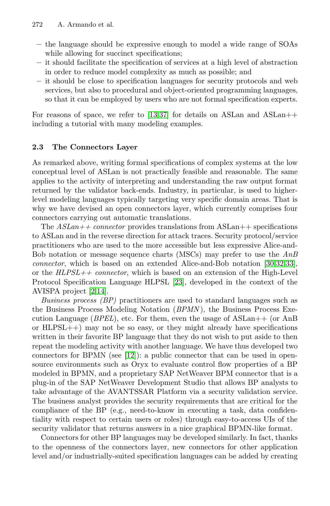- **–** the language should be expressive enough to model a wide range of SOAs while allowing for succinct specifications;
- **–** it should facilitate the specification of services at a high level of abstraction in order to reduce model complexity as much as possible; and
- **–** it should be close to specification languages for security protocols and web services, but also to procedural and object-oriented programming languages, so that it can be employed by users who are not formal specification experts.

For reasons of space, we refer to [\[13](#page-14-7)[,37\]](#page-15-8) for details on ASLan and ASLan++ including a tutorial with many modeling examples.

#### **2.3 The Connectors Layer**

As remarked above, writing formal specifications of complex systems at the low conceptual level of ASLan is not practically feasible and reasonable. The same applies to the activity of interpreting and understanding the raw output format returned by the validator back-ends. Industry, in particular, is used to higherlevel modeling languages typically targeting very specific domain areas. That is why we have devised an open connectors layer, which currently comprises four connectors carrying out automatic translations.

The  $ASLan++ \text{ connector}$  provides translations from  $ASLan++ \text{ specifications}$ to ASLan and in the reverse direction for attack traces. Security protocol/service practitioners who are used to the more accessible but less expressive Alice-and-Bob notation or message sequence charts (MSCs) may prefer to use the *AnB connector*, which is based on an extended Alice-and-Bob notation [\[30](#page-15-9)[,32](#page-15-10)[,33\]](#page-15-3), or the *HLPSL++ connector*, which is based on an extension of the High-Level Protocol Specification Language HLPSL [\[23\]](#page-15-11), developed in the context of the AVISPA project [\[2](#page-14-4)[,14\]](#page-14-8).

*Business process (BP)* practitioners are used to standard languages such as the Business Process Modeling Notation (*BPMN* ), the Business Process Execution Language (*BPEL*), etc. For them, even the usage of ASLan++ (or AnB or HLPSL++) may not be so easy, or they might already have specifications written in their favorite BP language that they do not wish to put aside to then repeat the modeling activity with another language. We have thus developed two connectors for BPMN (see [\[12\]](#page-14-9)): a public connector that can be used in opensource environments such as Oryx to evaluate control flow properties of a BP modeled in BPMN, and a proprietary SAP NetWeaver BPM connector that is a plug-in of the SAP NetWeaver Development Studio that allows BP analysts to take advantage of the AVANTSSAR Platform via a security validation service. The business analyst provides the security requirements that are critical for the compliance of the BP (e.g., need-to-know in executing a task, data confidentiality with respect to certain users or roles) through easy-to-access UIs of the security validator that returns answers in a nice graphical BPMN-like format.

Connectors for other BP languages may be developed similarly. In fact, thanks to the openness of the connectors layer, new connectors for other application level and/or industrially-suited specification languages can be added by creating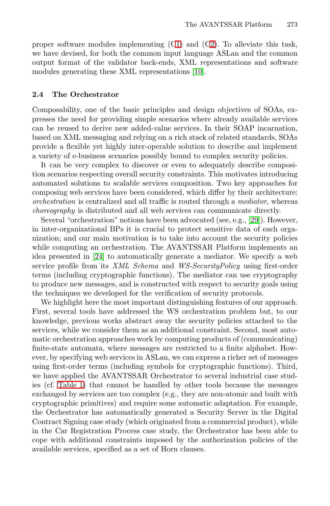proper software modules implementing ([C1\)](#page-3-1) and ([C2\)](#page-3-2). To alleviate this task, we have devised, for both the common input language ASLan and the common output format of the validator back-ends, XML representations and software modules generating these XML representations [\[10\]](#page-14-10).

#### **2.4 The Orchestrator**

Composability, one of the basic principles and design objectives of SOAs, expresses the need for providing simple scenarios where already available services can be reused to derive new added-value services. In their SOAP incarnation, based on XML messaging and relying on a rich stack of related standards, SOAs provide a flexible yet highly inter-operable solution to describe and implement a variety of e-business scenarios possibly bound to complex security policies.

It can be very complex to discover or even to adequately describe composition scenarios respecting overall security constraints. This motivates introducing automated solutions to scalable services composition. Two key approaches for composing web services have been considered, which differ by their architecture: *orchestration* is centralized and all traffic is routed through a *mediator*, whereas *choreography* is distributed and all web services can communicate directly.

Several "orchestration" notions have been advocated (see, e.g., [\[29\]](#page-15-12)). However, in inter-organizational BPs it is crucial to protect sensitive data of each organization; and our main motivation is to take into account the security policies while computing an orchestration. The AVANTSSAR Platform implements an idea presented in [\[24\]](#page-15-13) to automatically generate a mediator. We specify a web service profile from its *XML Schema* and *WS-SecurityPolicy* using first-order terms (including cryptographic functions). The mediator can use cryptography to produce new messages, and is constructed with respect to security goals using the techniques we developed for the verification of security protocols.

We highlight here the most important distinguishing features of our approach. First, several tools have addressed the WS orchestration problem but, to our knowledge, previous works abstract away the security policies attached to the services, while we consider them as an additional constraint. Second, most automatic orchestration approaches work by computing products of (communicating) finite-state automata, where messages are restricted to a finite alphabet. However, by specifying web services in ASLan, we can express a richer set of messages using first-order terms (including symbols for cryptographic functions). Third, we have applied the AVANTSSAR Orchestrator to several industrial case studies (cf. [Table 1\)](#page-11-0) that cannot be handled by other tools because the messages exchanged by services are too complex (e.g., they are non-atomic and built with cryptographic primitives) and require some automatic adaptation. For example, the Orchestrator has automatically generated a Security Server in the Digital Contract Signing case study (which originated from a commercial product), while in the Car Registration Process case study, the Orchestrator has been able to cope with additional constraints imposed by the authorization policies of the available services, specified as a set of Horn clauses.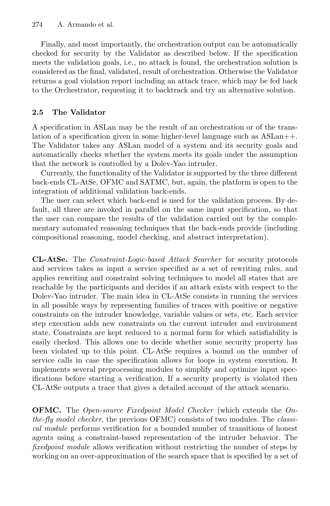Finally, and most importantly, the orchestration output can be automatically checked for security by the Validator as described below. If the specification meets the validation goals, i.e., no attack is found, the orchestration solution is considered as the final, validated, result of orchestration. Otherwise the Validator returns a goal violation report including an attack trace, which may be fed back to the Orchestrator, requesting it to backtrack and try an alternative solution.

## **2.5 The Validator**

A specification in ASLan may be the result of an orchestration or of the translation of a specification given in some higher-level language such as ASLan++. The Validator takes any ASLan model of a system and its security goals and automatically checks whether the system meets its goals under the assumption that the network is controlled by a Dolev-Yao intruder.

Currently, the functionality of the Validator is supported by the three different back-ends CL-AtSe, OFMC and SATMC, but, again, the platform is open to the integration of additional validation back-ends.

The user can select which back-end is used for the validation process. By default, all three are invoked in parallel on the same input specification, so that the user can compare the results of the validation carried out by the complementary automated reasoning techniques that the back-ends provide (including compositional reasoning, model checking, and abstract interpretation).

**CL-AtSe.** The *Constraint-Logic-based Attack Searcher* for security protocols and services takes as input a service specified as a set of rewriting rules, and applies rewriting and constraint solving techniques to model all states that are reachable by the participants and decides if an attack exists with respect to the Dolev-Yao intruder. The main idea in CL-AtSe consists in running the services in all possible ways by representing families of traces with positive or negative constraints on the intruder knowledge, variable values or sets, etc. Each service step execution adds new constraints on the current intruder and environment state. Constraints are kept reduced to a normal form for which satisfiability is easily checked. This allows one to decide whether some security property has been violated up to this point. CL-AtSe requires a bound on the number of service calls in case the specification allows for loops in system execution. It implements several preprocessing modules to simplify and optimize input specifications before starting a verification. If a security property is violated then CL-AtSe outputs a trace that gives a detailed account of the attack scenario.

**OFMC.** The *Open-source Fixedpoint Model Checker* (which extends the *Onthe-fly model checker*, the previous OFMC) consists of two modules. The *classical module* performs verification for a bounded number of transitions of honest agents using a constraint-based representation of the intruder behavior. The *fixedpoint module* allows verification without restricting the number of steps by working on an over-approximation of the search space that is specified by a set of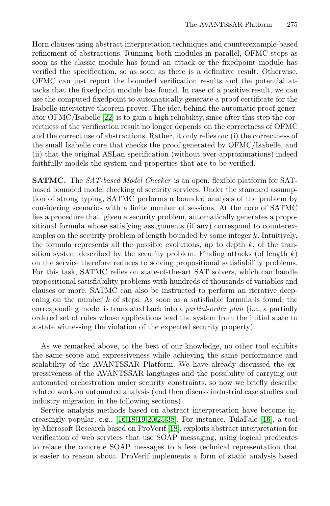Horn clauses using abstract interpretation techniques and counterexample-based refinement of abstractions. Running both modules in parallel, OFMC stops as soon as the classic module has found an attack or the fixedpoint module has verified the specification, so as soon as there is a definitive result. Otherwise, OFMC can just report the bounded verification results and the potential attacks that the fixedpoint module has found. In case of a positive result, we can use the computed fixedpoint to automatically generate a proof certificate for the Isabelle interactive theorem prover. The idea behind the automatic proof generator OFMC/Isabelle [\[22\]](#page-15-2) is to gain a high reliability, since after this step the correctness of the verification result no longer depends on the correctness of OFMC and the correct use of abstractions. Rather, it only relies on: (i) the correctness of the small Isabelle core that checks the proof generated by OFMC/Isabelle, and (ii) that the original ASLan specification (without over-approximations) indeed faithfully models the system and properties that are to be verified.

**SATMC.** The *SAT-based Model Checker* is an open, flexible platform for SATbased bounded model checking of security services. Under the standard assumption of strong typing, SATMC performs a bounded analysis of the problem by considering scenarios with a finite number of sessions. At the core of SATMC lies a procedure that, given a security problem, automatically generates a propositional formula whose satisfying assignments (if any) correspond to counterexamples on the security problem of length bounded by some integer k. Intuitively, the formula represents all the possible evolutions, up to depth  $k$ , of the transition system described by the security problem. Finding attacks (of length  $k$ ) on the service therefore reduces to solving propositional satisfiability problems. For this task, SATMC relies on state-of-the-art SAT solvers, which can handle propositional satisfiability problems with hundreds of thousands of variables and clauses or more. SATMC can also be instructed to perform an iterative deepening on the number  $k$  of steps. As soon as a satisfiable formula is found, the corresponding model is translated back into a *partial-order plan* (i.e., a partially ordered set of rules whose applications lead the system from the initial state to a state witnessing the violation of the expected security property).

As we remarked above, to the best of our knowledge, no other tool exhibits the same scope and expressiveness while achieving the same performance and scalability of the AVANTSSAR Platform. We have already discussed the expressiveness of the AVANTSSAR languages and the possibility of carrying out automated orchestration under security constraints, so now we briefly describe related work on automated analysis (and then discuss industrial case studies and industry migration in the following sections).

Service analysis methods based on abstract interpretation have become increasingly popular, e.g., [\[16](#page-14-11)[,18](#page-14-12)[,19](#page-14-13)[,20,](#page-15-14)[25](#page-15-15)[,38\]](#page-15-16). For instance, TulaFale [\[16\]](#page-14-11), a tool by Microsoft Research based on ProVerif [\[18\]](#page-14-12), exploits abstract interpretation for verification of web services that use SOAP messaging, using logical predicates to relate the concrete SOAP messages to a less technical representation that is easier to reason about. ProVerif implements a form of static analysis based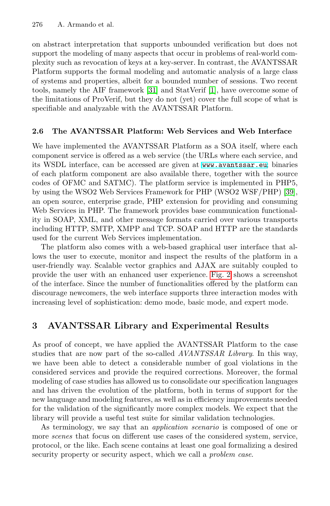on abstract interpretation that supports unbounded verification but does not support the modeling of many aspects that occur in problems of real-world complexity such as revocation of keys at a key-server. In contrast, the AVANTSSAR Platform supports the formal modeling and automatic analysis of a large class of systems and properties, albeit for a bounded number of sessions. Two recent tools, namely the AIF framework [\[31\]](#page-15-17) and StatVerif [\[1\]](#page-14-14), have overcome some of the limitations of ProVerif, but they do not (yet) cover the full scope of what is specifiable and analyzable with the AVANTSSAR Platform.

## **2.6 The AVANTSSAR Platform: Web Services and Web Interface**

We have implemented the AVANTSSAR Platform as a SOA itself, where each component service is offered as a web service (the URLs where each service, and its WSDL interface, can be accessed are given at <www.avantssar.eu>; binaries of each platform component are also available there, together with the source codes of OFMC and SATMC). The platform service is implemented in PHP5, by using the WSO2 Web Services Framework for PHP (WSO2 WSF/PHP) [\[39\]](#page-15-18), an open source, enterprise grade, PHP extension for providing and consuming Web Services in PHP. The framework provides base communication functionality in SOAP, XML, and other message formats carried over various transports including HTTP, SMTP, XMPP and TCP. SOAP and HTTP are the standards used for the current Web Services implementation.

The platform also comes with a web-based graphical user interface that allows the user to execute, monitor and inspect the results of the platform in a user-friendly way. Scalable vector graphics and AJAX are suitably coupled to provide the user with an enhanced user experience. [Fig. 2](#page-10-0) shows a screenshot of the interface. Since the number of functionalities offered by the platform can discourage newcomers, the web interface supports three interaction modes with increasing level of sophistication: demo mode, basic mode, and expert mode.

# **3 AVANTSSAR Library and Experimental Results**

As proof of concept, we have applied the AVANTSSAR Platform to the case studies that are now part of the so-called *AVANTSSAR Library*. In this way, we have been able to detect a considerable number of goal violations in the considered services and provide the required corrections. Moreover, the formal modeling of case studies has allowed us to consolidate our specification languages and has driven the evolution of the platform, both in terms of support for the new language and modeling features, as well as in efficiency improvements needed for the validation of the significantly more complex models. We expect that the library will provide a useful test suite for similar validation technologies.

As terminology, we say that an *application scenario* is composed of one or more *scenes* that focus on different use cases of the considered system, service, protocol, or the like. Each scene contains at least one goal formalizing a desired security property or security aspect, which we call a *problem case*.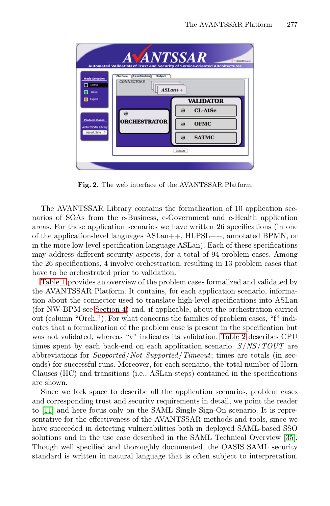| <b>Mode Selection</b>                            | <b>Specification</b><br>Output<br>Platform<br><b>CONNECTORS</b> | Automated VAlidatioN of Trust and Security of Service-oriented ARchitectures |
|--------------------------------------------------|-----------------------------------------------------------------|------------------------------------------------------------------------------|
| Demo<br>Basic                                    | $ASLan++$                                                       |                                                                              |
| Expert                                           |                                                                 | <b>VALIDATOR</b>                                                             |
|                                                  |                                                                 | <b>CL-AtSe</b>                                                               |
| <b>Problem Cases</b><br><b>AVANTSSAR Library</b> | <b>ORCHESTRATOR</b>                                             | <b>OFMC</b><br>ω                                                             |
| Assert_Safe 0                                    |                                                                 | <b>SATMC</b><br>ω                                                            |

<span id="page-10-0"></span>**Fig. 2.** The web interface of the AVANTSSAR Platform

The AVANTSSAR Library contains the formalization of 10 application scenarios of SOAs from the e-Business, e-Government and e-Health application areas. For these application scenarios we have written 26 specifications (in one of the application-level languages ASLan++, HLPSL++, annotated BPMN, or in the more low level specification language ASLan). Each of these specifications may address different security aspects, for a total of 94 problem cases. Among the 26 specifications, 4 involve orchestration, resulting in 13 problem cases that have to be orchestrated prior to validation.

[Table 1](#page-11-0) provides an overview of the problem cases formalized and validated by the AVANTSSAR Platform. It contains, for each application scenario, information about the connector used to translate high-level specifications into ASLan (for NW BPM see [Section 4\)](#page-12-0) and, if applicable, about the orchestration carried out (column "Orch."). For what concerns the families of problem cases, "f" indicates that a formalization of the problem case is present in the specification but was not validated, whereas "v" indicates its validation. [Table 2](#page-11-1) describes CPU times spent by each back-end on each application scenario. *S*/*NS*/*TOUT* are abbreviations for *Supported*/*Not Supported*/*Timeout*; times are totals (in seconds) for successful runs. Moreover, for each scenario, the total number of Horn Clauses (HC) and transitions (i.e., ASLan steps) contained in the specifications are shown.

Since we lack space to describe all the application scenarios, problem cases and corresponding trust and security requirements in detail, we point the reader to [\[11\]](#page-14-15) and here focus only on the SAML Single Sign-On scenario. It is representative for the effectiveness of the AVANTSSAR methods and tools, since we have succeeded in detecting vulnerabilities both in deployed SAML-based SSO solutions and in the use case described in the SAML Technical Overview [\[35\]](#page-15-19). Though well specified and thoroughly documented, the OASIS SAML security standard is written in natural language that is often subject to interpretation.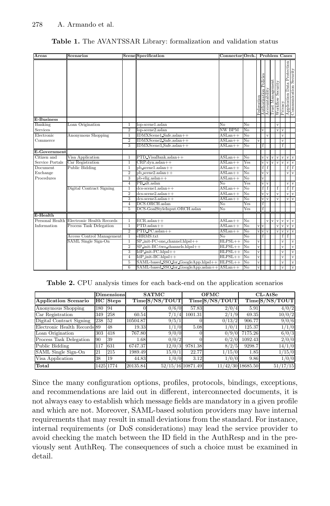<span id="page-11-0"></span>

| Table 1. The AVANTSSAR Library: formalization and validation status |  |  |  |  |  |  |  |  |  |
|---------------------------------------------------------------------|--|--|--|--|--|--|--|--|--|
|                                                                     |  |  |  |  |  |  |  |  |  |

| Areas             | <b>Scenarios</b>          |                | <b>Scene Specification</b>           | Connector Orch.              |     |                         |                       |                             |                                               | <b>Problem Cases</b>    |                         |                                                       |
|-------------------|---------------------------|----------------|--------------------------------------|------------------------------|-----|-------------------------|-----------------------|-----------------------------|-----------------------------------------------|-------------------------|-------------------------|-------------------------------------------------------|
|                   |                           |                |                                      |                              |     | Federation              | g<br>Authorizat       |                             | Management<br>Accountability<br>Trust Managem | Security<br>Workflow    | Privacy                 | Application Data Protection<br>Communication Security |
| <b>E-Business</b> |                           |                |                                      |                              |     |                         |                       |                             |                                               |                         |                         |                                                       |
| Banking           | Loan Origination          | $\mathbf{1}$   | lop-scene1.aslan                     | No.                          | No  |                         |                       |                             |                                               | $\overline{\mathbf{v}}$ |                         |                                                       |
| Services          |                           | $\overline{2}$ | lop-scene2.aslan                     | NW BPM                       | No  |                         | $\mathbf{v}$          |                             |                                               | $\overline{\mathbf{v}}$ | $\mathbf{v}$            |                                                       |
| Electronic        | Anonymous Shopping        | $\mathbf{1}$   | IDMXScene1_Safe.aslan++              | $ASLan++$                    | No  |                         |                       | $\mathbf{v}$                |                                               |                         | $\mathbf{v}$            |                                                       |
| Commerce          |                           | $\overline{2}$ | IDMXScene2 Safe.aslan++              | $ASLan++$                    | Nο  | $\mathbf{v}$            |                       |                             |                                               |                         | $\overline{\mathbf{V}}$ |                                                       |
|                   |                           | 3              | IDMXScene3_Safe.aslan++              | $ASLan++$                    | No  |                         | f                     |                             |                                               |                         | f                       |                                                       |
| E-Government      |                           |                |                                      |                              |     |                         |                       |                             |                                               |                         |                         |                                                       |
| Citizen and       | Visa Application          | $\mathbf{1}$   | PTD_VisaBank.aslan++                 | $\overline{\text{ASLan}}$ ++ | No  |                         |                       |                             | $\mathbf{v}\cdot\mathbf{v}$                   | $\mathbf{V}$            | $\mathbf{v}$            | $\mathbf{V}$<br>$\mathbf{v}$                          |
| Service Portals   | Car Registration          | $\mathbf{1}$   | $CRP.dyn.aslan++$                    | $ASLan++$                    | Yes |                         |                       | $\mathbf{v}\cdot\mathbf{v}$ | $\mathbf v$                                   | $\mathbf{V}$            | $\mathbf{v}$            | $_{\rm V}$<br>$\mathbf{v}$                            |
| Document.         | Public Bidding            | 1              | pb_scene1.aslan++                    | $ASLan++$                    | No  |                         | ff                    |                             |                                               |                         |                         | f<br>Ŧ                                                |
| Exchange          |                           | $\overline{2}$ | pb_scene2.aslan++                    | $ASLan++$                    | No  |                         | ${\bf v}\cdot{\bf v}$ |                             |                                               |                         |                         | v<br>$\mathbf{V}$                                     |
| Procedures        |                           | 3              | $pb$ -elig.aslan $++$                | $ASLan++$                    | Nο  |                         | $_{\rm V}$            |                             |                                               |                         |                         |                                                       |
|                   |                           | 4              | PB_alt.aslan                         | No                           | Yes |                         | v v                   |                             |                                               |                         |                         | v<br>$\mathbf{v}$                                     |
|                   | Digital Contract Signing  | 1              | $dcs$ -scene1.aslan $++$             | $ASLan++$                    | No  |                         | ff                    |                             |                                               | f                       |                         | f<br>f                                                |
|                   |                           | $\overline{2}$ | $dcs$ -scene2.aslan++                | $ASLan++$                    | No  |                         | v v                   |                             |                                               | $\overline{\mathbf{v}}$ |                         | $\mathbf{v}$<br>$\overline{\mathbf{v}}$               |
|                   |                           | 3              | $dcs$ -scene3.aslan++                | $ASLan++$                    | Nο  |                         | v v                   |                             |                                               | v                       |                         | $\overline{\mathbf{v}}$<br>$\mathbf{v}$               |
|                   |                           | $\overline{4}$ | DCS.ORCH.aslan                       | No                           | Yes |                         | f                     |                             |                                               |                         |                         |                                                       |
|                   |                           | 5              | DCS-GoalStyleInput.ORCH.aslan        | No                           | Yes |                         | f                     |                             |                                               |                         |                         |                                                       |
| E-Health          |                           |                |                                      |                              |     |                         |                       |                             |                                               |                         |                         |                                                       |
| Personal Health   | Electronic Health Records | 1              | ECR.aslan++                          | $ASLan++$                    | No  |                         |                       | v                           | $\overline{\mathbf{v}}$                       | $\overline{\mathbf{v}}$ | $\overline{\mathbf{V}}$ | $\mathbf{v}$<br>$\mathbf{v}$                          |
| Information       | Process Task Delegation   | $\mathbf{1}$   | PTD.aslan++                          | $ASLan++$                    | No  | $\mathbf{v}$            | $\mathbf{v}$          |                             |                                               | $\overline{\mathbf{v}}$ | $\mathbf{v}$            | $\mathbf{v}$<br>$\mathbf{v}$                          |
|                   |                           | $\overline{2}$ | PTD PC.aslan++                       | $ASLan++$                    | No  | $\mathbf{v}$            | v v                   |                             |                                               | v                       | $\overline{\mathbf{V}}$ | $\mathbf{v}$<br>$\mathbf{V}$                          |
|                   | Access Control Management | $\mathbf{1}$   | $e\text{HRMS.txt}$                   | No                           | No  |                         |                       |                             |                                               |                         | f                       | f                                                     |
|                   | SAML Single Sign-On       | $\mathbf{1}$   | SP init-FC-one channel.hlpsl++       | $HLPSL++$                    | No  | v                       |                       |                             |                                               |                         | $\overline{\mathbf{v}}$ | $\mathbf{v}$                                          |
|                   |                           | $\overline{2}$ | SP init-BC-two channels.hlpsl++      | $HLPSL++$                    | No  | $\overline{\mathbf{v}}$ |                       |                             |                                               |                         | $\mathbf{v}$            | $\mathbf{v}$                                          |
|                   |                           | 3              | IdP_init-FC.hlpsl++                  | $HLPSL++$                    | No  | $\bar{\mathbf{v}}$      |                       |                             |                                               |                         | $\overline{V}$          | $\mathbf{V}$                                          |
|                   |                           | $\overline{4}$ | IdP_init-BC.hlpsl++                  | $HLPSL++$                    | No  | $\mathbf{v}$            |                       |                             |                                               |                         | v                       | $\mathbf{v}$                                          |
|                   |                           | 5              | SAML-based SSO for GoogleApp.hlpsl++ | $HLPSL++$                    | No  | v                       |                       |                             |                                               |                         | v                       | $_{\rm V}$                                            |
|                   |                           | 6              | SAML-based SSO for GoogleApp.aslan++ | $ASLan++$                    | No  | $\mathbf{V}$            |                       |                             |                                               |                         | $\overline{\mathbf{V}}$ | $\rm{V}$                                              |

<span id="page-11-1"></span>

| Table 2. CPU analysis times for each back-end on the application scenarios |  |
|----------------------------------------------------------------------------|--|
|----------------------------------------------------------------------------|--|

|                              |     | <b>Dimensions</b> |          | <b>SATMC</b>      |         | <b>OFMC</b>       | $CL-AtSe$ |                |  |  |  |
|------------------------------|-----|-------------------|----------|-------------------|---------|-------------------|-----------|----------------|--|--|--|
| <b>Application Scenario</b>  |     | <b>HC</b> Steps   |          | TimeS/NS/TOUT     |         | TimeS/NS/TOUT     |           | Time S/NS/TOUT |  |  |  |
| Anonymous Shopping           | 180 | 94                |          | 0/6/0             | 57.83   | 2/0/4             | 5.91      | 4/0/2          |  |  |  |
| Car Registration             | 349 | 258               | 60.54    | 7/1/4             | 1001.31 | 2/1/9             | 69.35     | 10/0/2         |  |  |  |
| Digital Contract Signing     | 238 | 52                | 10504.87 | 9/5/1             |         | 0/13/2            | 906.77    | 9/0/6          |  |  |  |
| Electronic Health Records 89 |     | 48                | 19.33    | 1/1/0             | 5.08    | 1/0/              | 125.37    | 1/1/0          |  |  |  |
| Loan Origination             | 303 | 418               | 767.80   | 9/0/0             |         | 0/9/0             | 7175.26   | 6/0/3          |  |  |  |
| Process Task Delegation      | 90  | 39                | 1.68     | 0/0/2             |         | 0/2/0             | 1092.43   | 2/0/0          |  |  |  |
| Public Bidding               | 117 | 631               | 6747.37  | 12/0/3            | 9781.38 | 8/2/5             | 9298.7    | 14/1/0         |  |  |  |
| SAML Single Sign-On          | 21  | 215               | 1989.49  | 15/0/1            | 22.77   | 1/15/0            | 1.85      | 1/15/0         |  |  |  |
| Visa Application             | 38  | 19                | 44.83    | 1/0/0             | 3.12    | 1/0/0             | 9.86      | 1/0/0          |  |  |  |
| Total                        |     | 1425 1774         | 20135.84 | 52/15/16 10871.49 |         | 11/42/30 18685.50 |           | 51/17/15       |  |  |  |

Since the many configuration options, profiles, protocols, bindings, exceptions, and recommendations are laid out in different, interconnected documents, it is not always easy to establish which message fields are mandatory in a given profile and which are not. Moreover, SAML-based solution providers may have internal requirements that may result in small deviations from the standard. For instance, internal requirements (or DoS considerations) may lead the service provider to avoid checking the match between the ID field in the AuthResp and in the previously sent AuthReq. The consequences of such a choice must be examined in detail.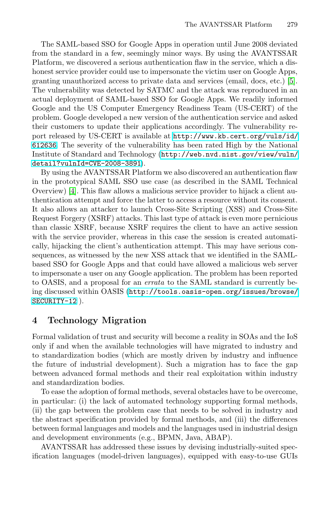The SAML-based SSO for Google Apps in operation until June 2008 deviated from the standard in a few, seemingly minor ways. By using the AVANTSSAR Platform, we discovered a serious authentication flaw in the service, which a dishonest service provider could use to impersonate the victim user on Google Apps, granting unauthorized access to private data and services (email, docs, etc.) [\[5\]](#page-14-3). The vulnerability was detected by SATMC and the attack was reproduced in an actual deployment of SAML-based SSO for Google Apps. We readily informed Google and the US Computer Emergency Readiness Team (US-CERT) of the problem. Google developed a new version of the authentication service and asked their customers to update their applications accordingly. The vulnerability report released by US-CERT is available at [http://www.kb.cert.org/vuls/id/](http://www.kb.cert.org/vuls/id/612636) [612636](http://www.kb.cert.org/vuls/id/612636). The severity of the vulnerability has been rated High by the National Institute of Standard and Technology ([http://web.nvd.nist.gov/view/vuln/](http://web.nvd.nist.gov/view/vuln/detail?vulnId=CVE-2008-3891) [detail?vulnId=CVE-2008-3891](http://web.nvd.nist.gov/view/vuln/detail?vulnId=CVE-2008-3891)).

<span id="page-12-0"></span>By using the AVANTSSAR Platform we also discovered an authentication flaw in the prototypical SAML SSO use case (as described in the SAML Technical Overview) [\[4\]](#page-14-16). This flaw allows a malicious service provider to hijack a client authentication attempt and force the latter to access a resource without its consent. It also allows an attacker to launch Cross-Site Scripting (XSS) and Cross-Site Request Forgery (XSRF) attacks. This last type of attack is even more pernicious than classic XSRF, because XSRF requires the client to have an active session with the service provider, whereas in this case the session is created automatically, hijacking the client's authentication attempt. This may have serious consequences, as witnessed by the new XSS attack that we identified in the SAMLbased SSO for Google Apps and that could have allowed a malicious web server to impersonate a user on any Google application. The problem has been reported to OASIS, and a proposal for an *errata* to the SAML standard is currently being discussed within OASIS ([http://tools.oasis-open.org/issues/browse/](http://tools.oasis-open.org/issues/browse/SECURITY-12) [SECURITY-12](http://tools.oasis-open.org/issues/browse/SECURITY-12) ).

## **4 Technology Migration**

Formal validation of trust and security will become a reality in SOAs and the IoS only if and when the available technologies will have migrated to industry and to standardization bodies (which are mostly driven by industry and influence the future of industrial development). Such a migration has to face the gap between advanced formal methods and their real exploitation within industry and standardization bodies.

To ease the adoption of formal methods, several obstacles have to be overcome, in particular: (i) the lack of automated technology supporting formal methods, (ii) the gap between the problem case that needs to be solved in industry and the abstract specification provided by formal methods, and (iii) the differences between formal languages and models and the languages used in industrial design and development environments (e.g., BPMN, Java, ABAP).

AVANTSSAR has addressed these issues by devising industrially-suited specification languages (model-driven languages), equipped with easy-to-use GUIs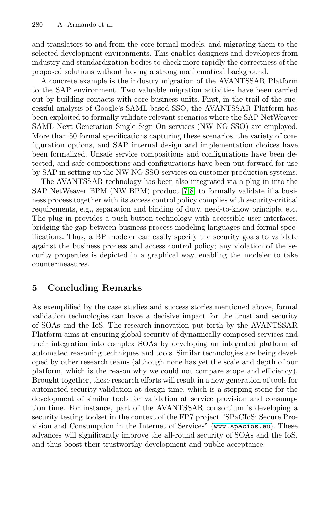and translators to and from the core formal models, and migrating them to the selected development environments. This enables designers and developers from industry and standardization bodies to check more rapidly the correctness of the proposed solutions without having a strong mathematical background.

A concrete example is the industry migration of the AVANTSSAR Platform to the SAP environment. Two valuable migration activities have been carried out by building contacts with core business units. First, in the trail of the successful analysis of Google's SAML-based SSO, the AVANTSSAR Platform has been exploited to formally validate relevant scenarios where the SAP NetWeaver SAML Next Generation Single Sign On services (NW NG SSO) are employed. More than 50 formal specifications capturing these scenarios, the variety of configuration options, and SAP internal design and implementation choices have been formalized. Unsafe service compositions and configurations have been detected, and safe compositions and configurations have been put forward for use by SAP in setting up the NW NG SSO services on customer production systems.

The AVANTSSAR technology has been also integrated via a plug-in into the SAP NetWeaver BPM (NW BPM) product [\[7](#page-14-17)[,8\]](#page-14-18) to formally validate if a business process together with its access control policy complies with security-critical requirements, e.g., separation and binding of duty, need-to-know principle, etc. The plug-in provides a push-button technology with accessible user interfaces, bridging the gap between business process modeling languages and formal specifications. Thus, a BP modeler can easily specify the security goals to validate against the business process and access control policy; any violation of the security properties is depicted in a graphical way, enabling the modeler to take countermeasures.

# **5 Concluding Remarks**

As exemplified by the case studies and success stories mentioned above, formal validation technologies can have a decisive impact for the trust and security of SOAs and the IoS. The research innovation put forth by the AVANTSSAR Platform aims at ensuring global security of dynamically composed services and their integration into complex SOAs by developing an integrated platform of automated reasoning techniques and tools. Similar technologies are being developed by other research teams (although none has yet the scale and depth of our platform, which is the reason why we could not compare scope and efficiency). Brought together, these research efforts will result in a new generation of tools for automated security validation at design time, which is a stepping stone for the development of similar tools for validation at service provision and consumption time. For instance, part of the AVANTSSAR consortium is developing a security testing toolset in the context of the FP7 project "SPaCIoS: Secure Provision and Consumption in the Internet of Services" (<www.spacios.eu>). These advances will significantly improve the all-round security of SOAs and the IoS, and thus boost their trustworthy development and public acceptance.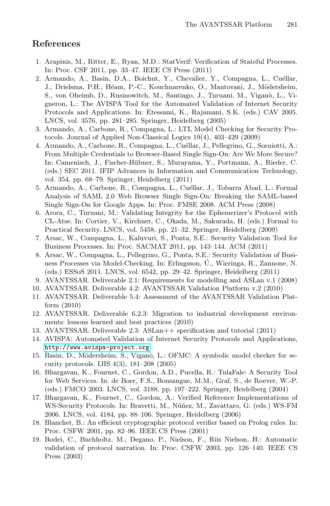## <span id="page-14-14"></span><span id="page-14-4"></span>**References**

- <span id="page-14-16"></span><span id="page-14-2"></span>1. Arapinis, M., Ritter, E., Ryan, M.D.: StatVerif: Verification of Stateful Processes. In: Proc. CSF 2011, pp. 33–47. IEEE CS Press (2011)
- 2. Armando, A., Basin, D.A., Boichut, Y., Chevalier, Y., Compagna, L., Cuéllar, J., Drielsma, P.H., Héam, P.-C., Kouchnarenko, O., Mantovani, J., Mödersheim, S., von Oheimb, D., Rusinowitch, M., Santiago, J., Turuani, M., Viganò, L., Vigneron, L.: The AVISPA Tool for the Automated Validation of Internet Security Protocols and Applications. In: Etessami, K., Rajamani, S.K. (eds.) CAV 2005. LNCS, vol. 3576, pp. 281–285. Springer, Heidelberg (2005)
- <span id="page-14-3"></span><span id="page-14-0"></span>3. Armando, A., Carbone, R., Compagna, L.: LTL Model Checking for Security Protocols. Journal of Applied Non-Classical Logics 19(4), 403–429 (2009)
- <span id="page-14-17"></span>4. Armando, A., Carbone, R., Compagna, L., Cuéllar, J., Pellegrino, G., Sorniotti, A.: From Multiple Credentials to Browser-Based Single Sign-On: Are We More Secure? In: Camenisch, J., Fischer-Hübner, S., Murayama, Y., Portmann, A., Rieder, C. (eds.) SEC 2011. IFIP Advances in Information and Communication Technology, vol. 354, pp. 68–79. Springer, Heidelberg (2011)
- <span id="page-14-18"></span>5. Armando, A., Carbone, R., Compagna, L., Cuéllar, J., Tobarra Abad, L.: Formal Analysis of SAML 2.0 Web Browser Single Sign-On: Breaking the SAML-based Single Sign-On for Google Apps. In: Proc. FMSE 2008. ACM Press (2008)
- <span id="page-14-15"></span><span id="page-14-10"></span><span id="page-14-5"></span>6. Arora, C., Turuani, M.: Validating Integrity for the Ephemerizer's Protocol with CL-Atse. In: Cortier, V., Kirchner, C., Okada, M., Sakurada, H. (eds.) Formal to Practical Security. LNCS, vol. 5458, pp. 21–32. Springer, Heidelberg (2009)
- <span id="page-14-9"></span>7. Arsac, W., Compagna, L., Kaluvuri, S., Ponta, S.E.: Security Validation Tool for Business Processes. In: Proc. SACMAT 2011, pp. 143–144. ACM (2011)
- <span id="page-14-8"></span><span id="page-14-7"></span>8. Arsac, W., Compagna, L., Pellegrino, G., Ponta, S.E.: Security Validation of Business Processes via Model-Checking. In: Erlingsson, U., Wieringa, R., Zannone, N. ´ (eds.) ESSoS 2011. LNCS, vol. 6542, pp. 29–42. Springer, Heidelberg (2011)
- <span id="page-14-1"></span>9. AVANTSSAR. Deliverable 2.1: Requirements for modelling and ASLan v.1 (2008)
- 10. AVANTSSAR. Deliverable 4.2: AVANTSSAR Validation Platform v.2 (2010)
- <span id="page-14-11"></span>11. AVANTSSAR. Deliverable 5.4: Assessment of the AVANTSSAR Validation Platform (2010)
- <span id="page-14-6"></span>12. AVANTSSAR. Deliverable 6.2.3: Migration to industrial development environments: lessons learned and best practices (2010)
- 13. AVANTSSAR. Deliverable 2.3: ASLan++ specification and tutorial (2011)
- <span id="page-14-12"></span>14. AVISPA: Automated Validation of Internet Security Protocols and Applications, <http://www.avispa-project.org>
- 15. Basin, D., Mödersheim, S., Viganò, L.: OFMC: A symbolic model checker for security protocols. IJIS 4(3), 181–208 (2005)
- <span id="page-14-13"></span>16. Bhargavan, K., Fournet, C., Gordon, A.D., Pucella, R.: TulaFale: A Security Tool for Web Services. In: de Boer, F.S., Bonsangue, M.M., Graf, S., de Roever, W.-P. (eds.) FMCO 2003. LNCS, vol. 3188, pp. 197–222. Springer, Heidelberg (2004)
- 17. Bhargavan, K., Fournet, C., Gordon, A.: Verified Reference Implementations of WS-Security Protocols. In: Bravetti, M., Núñez, M., Zavattaro, G. (eds.) WS-FM 2006. LNCS, vol. 4184, pp. 88–106. Springer, Heidelberg (2006)
- 18. Blanchet, B.: An efficient cryptographic protocol verifier based on Prolog rules. In: Proc. CSFW 2001, pp. 82–96. IEEE CS Press (2001)
- 19. Bodei, C., Buchholtz, M., Degano, P., Nielson, F., Riis Nielson, H.: Automatic validation of protocol narration. In: Proc. CSFW 2003, pp. 126–140. IEEE CS Press (2003)